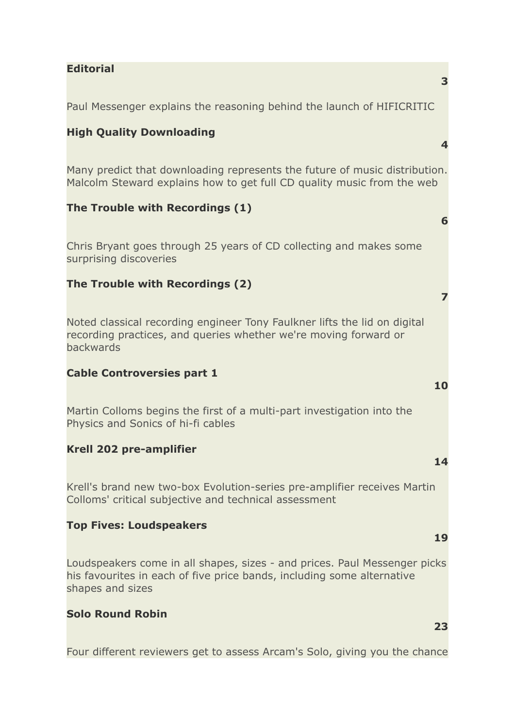## **Editorial**

Paul Messenger explains the reasoning behind the launch of HIFICRITIC

# **High Quality Downloading**

Many predict that downloading represents the future of music distribution. Malcolm Steward explains how to get full CD quality music from the web

## **The Trouble with Recordings (1)**

Chris Bryant goes through 25 years of CD collecting and makes some surprising discoveries

# **The Trouble with Recordings (2)**

Noted classical recording engineer Tony Faulkner lifts the lid on digital recording practices, and queries whether we're moving forward or backwards

## **Cable Controversies part 1**

Martin Colloms begins the first of a multi-part investigation into the Physics and Sonics of hi-fi cables

## **Krell 202 pre-amplifier**

Krell's brand new two-box Evolution-series pre-amplifier receives Martin Colloms' critical subjective and technical assessment

#### **Top Fives: Loudspeakers**

Loudspeakers come in all shapes, sizes - and prices. Paul Messenger picks his favourites in each of five price bands, including some alternative shapes and sizes

#### **Solo Round Robin**

Four different reviewers get to assess Arcam's Solo, giving you the chance

#### **3**

**4**

**6**

**7**

**10**

**14**

#### **19**

**23**